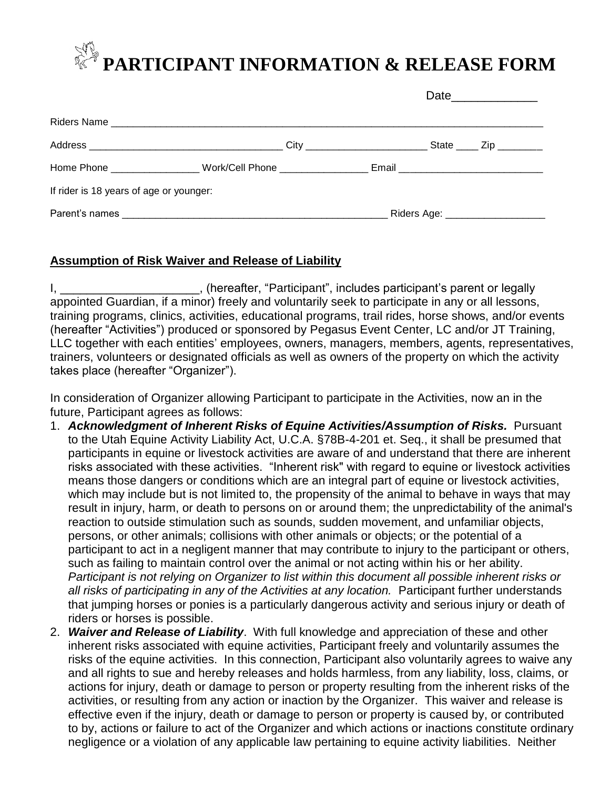## **PARTICIPANT INFORMATION & RELEASE FORM**

|                                         |                                                                  |  | Date_______________                 |  |
|-----------------------------------------|------------------------------------------------------------------|--|-------------------------------------|--|
|                                         |                                                                  |  |                                     |  |
|                                         |                                                                  |  |                                     |  |
|                                         |                                                                  |  |                                     |  |
| If rider is 18 years of age or younger: |                                                                  |  |                                     |  |
| Parent's names                          | <u> 1990 - Johann John Stone, Amerikaansk politiker (* 1908)</u> |  | Riders Age: _______________________ |  |

## **Assumption of Risk Waiver and Release of Liability**

I, \_\_\_\_\_\_\_\_\_\_\_\_\_\_\_\_\_\_\_\_\_\_\_\_, (hereafter, "Participant", includes participant's parent or legally appointed Guardian, if a minor) freely and voluntarily seek to participate in any or all lessons, training programs, clinics, activities, educational programs, trail rides, horse shows, and/or events (hereafter "Activities") produced or sponsored by Pegasus Event Center, LC and/or JT Training, LLC together with each entities' employees, owners, managers, members, agents, representatives, trainers, volunteers or designated officials as well as owners of the property on which the activity takes place (hereafter "Organizer").

In consideration of Organizer allowing Participant to participate in the Activities, now an in the future, Participant agrees as follows:

- 1. *Acknowledgment of Inherent Risks of Equine Activities/Assumption of Risks.* Pursuant to the Utah Equine Activity Liability Act, U.C.A. §78B-4-201 et. Seq., it shall be presumed that participants in equine or livestock activities are aware of and understand that there are inherent risks associated with these activities. "Inherent risk" with regard to equine or livestock activities means those dangers or conditions which are an integral part of equine or livestock activities, which may include but is not limited to, the propensity of the animal to behave in ways that may result in injury, harm, or death to persons on or around them; the unpredictability of the animal's reaction to outside stimulation such as sounds, sudden movement, and unfamiliar objects, persons, or other animals; collisions with other animals or objects; or the potential of a participant to act in a negligent manner that may contribute to injury to the participant or others, such as failing to maintain control over the animal or not acting within his or her ability. *Participant is not relying on Organizer to list within this document all possible inherent risks or all risks of participating in any of the Activities at any location.* Participant further understands that jumping horses or ponies is a particularly dangerous activity and serious injury or death of riders or horses is possible.
- 2. *Waiver and Release of Liability*. With full knowledge and appreciation of these and other inherent risks associated with equine activities, Participant freely and voluntarily assumes the risks of the equine activities. In this connection, Participant also voluntarily agrees to waive any and all rights to sue and hereby releases and holds harmless, from any liability, loss, claims, or actions for injury, death or damage to person or property resulting from the inherent risks of the activities, or resulting from any action or inaction by the Organizer. This waiver and release is effective even if the injury, death or damage to person or property is caused by, or contributed to by, actions or failure to act of the Organizer and which actions or inactions constitute ordinary negligence or a violation of any applicable law pertaining to equine activity liabilities. Neither